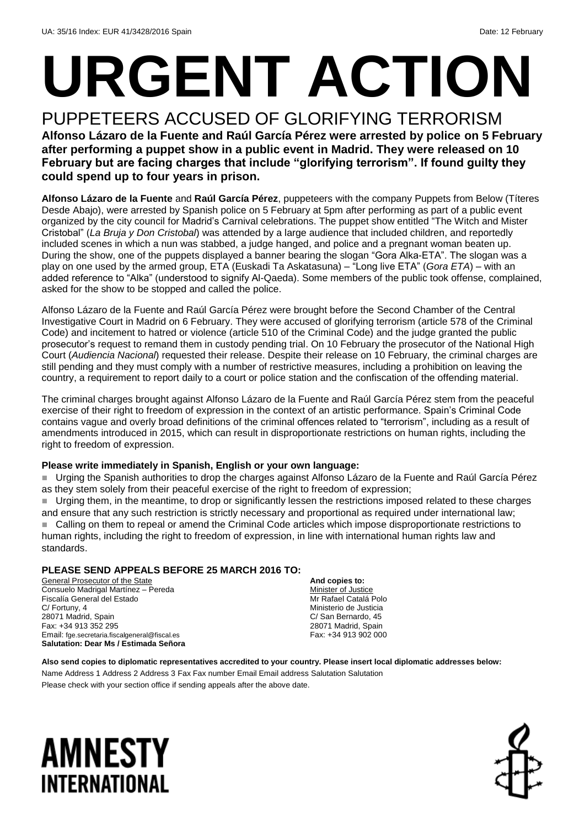# **URGENT ACTION**

PUPPETEERS ACCUSED OF GLORIFYING TERRORISM **Alfonso Lázaro de la Fuente and Raúl García Pérez were arrested by police on 5 February after performing a puppet show in a public event in Madrid. They were released on 10 February but are facing charges that include "glorifying terrorism". If found guilty they could spend up to four years in prison.**

**Alfonso Lázaro de la Fuente** and **Raúl García Pérez**, puppeteers with the company Puppets from Below (Títeres Desde Abajo), were arrested by Spanish police on 5 February at 5pm after performing as part of a public event organized by the city council for Madrid's Carnival celebrations. The puppet show entitled "The Witch and Mister Cristobal" (*La Bruja y Don Cristobal*) was attended by a large audience that included children, and reportedly included scenes in which a nun was stabbed, a judge hanged, and police and a pregnant woman beaten up. During the show, one of the puppets displayed a banner bearing the slogan "Gora Alka-ETA". The slogan was a play on one used by the armed group, ETA (Euskadi Ta Askatasuna) – "Long live ETA" (*Gora ETA*) – with an added reference to "Alka" (understood to signify Al-Qaeda). Some members of the public took offense, complained, asked for the show to be stopped and called the police.

Alfonso Lázaro de la Fuente and Raúl García Pérez were brought before the Second Chamber of the Central Investigative Court in Madrid on 6 February. They were accused of glorifying terrorism (article 578 of the Criminal Code) and incitement to hatred or violence (article 510 of the Criminal Code) and the judge granted the public prosecutor's request to remand them in custody pending trial. On 10 February the prosecutor of the National High Court (*Audiencia Nacional*) requested their release. Despite their release on 10 February, the criminal charges are still pending and they must comply with a number of restrictive measures, including a prohibition on leaving the country, a requirement to report daily to a court or police station and the confiscation of the offending material.

The criminal charges brought against Alfonso Lázaro de la Fuente and Raúl García Pérez stem from the peaceful exercise of their right to freedom of expression in the context of an artistic performance. Spain's Criminal Code contains vague and overly broad definitions of the criminal offences related to "terrorism", including as a result of amendments introduced in 2015, which can result in disproportionate restrictions on human rights, including the right to freedom of expression.

#### **Please write immediately in Spanish, English or your own language:**

 Urging the Spanish authorities to drop the charges against Alfonso Lázaro de la Fuente and Raúl García Pérez as they stem solely from their peaceful exercise of the right to freedom of expression;

 Urging them, in the meantime, to drop or significantly lessen the restrictions imposed related to these charges and ensure that any such restriction is strictly necessary and proportional as required under international law; Calling on them to repeal or amend the Criminal Code articles which impose disproportionate restrictions to human rights, including the right to freedom of expression, in line with international human rights law and standards.

### **PLEASE SEND APPEALS BEFORE 25 MARCH 2016 TO:**

General Prosecutor of the State Consuelo Madrigal Martínez – Pereda Fiscalía General del Estado C/ Fortuny, 4 28071 Madrid, Spain Fax: +34 913 352 295 Email: fge.secretaria.fiscalgeneral@fiscal.es **Salutation: Dear Ms / Estimada Señora**

**And copies to:** Minister of Justice Mr Rafael Catalá Polo Ministerio de Justicia C/ San Bernardo, 45 28071 Madrid, Spain Fax: +34 913 902 000

**Also send copies to diplomatic representatives accredited to your country. Please insert local diplomatic addresses below:** Name Address 1 Address 2 Address 3 Fax Fax number Email Email address Salutation Salutation Please check with your section office if sending appeals after the above date.